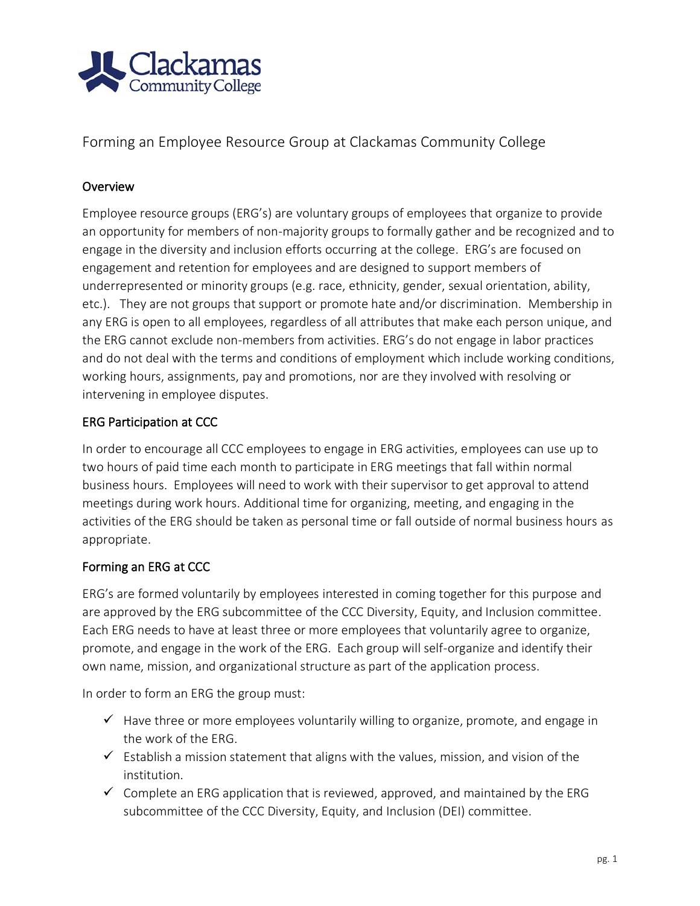

Forming an Employee Resource Group at Clackamas Community College

## **Overview**

Employee resource groups (ERG's) are voluntary groups of employees that organize to provide an opportunity for members of non-majority groups to formally gather and be recognized and to engage in the diversity and inclusion efforts occurring at the college. ERG's are focused on engagement and retention for employees and are designed to support members of underrepresented or minority groups (e.g. race, ethnicity, gender, sexual orientation, ability, etc.). They are not groups that support or promote hate and/or discrimination. Membership in any ERG is open to all employees, regardless of all attributes that make each person unique, and the ERG cannot exclude non-members from activities. ERG's do not engage in labor practices and do not deal with the terms and conditions of employment which include working conditions, working hours, assignments, pay and promotions, nor are they involved with resolving or intervening in employee disputes.

## ERG Participation at CCC

In order to encourage all CCC employees to engage in ERG activities, employees can use up to two hours of paid time each month to participate in ERG meetings that fall within normal business hours. Employees will need to work with their supervisor to get approval to attend meetings during work hours. Additional time for organizing, meeting, and engaging in the activities of the ERG should be taken as personal time or fall outside of normal business hours as appropriate.

# Forming an ERG at CCC

ERG's are formed voluntarily by employees interested in coming together for this purpose and are approved by the ERG subcommittee of the CCC Diversity, Equity, and Inclusion committee. Each ERG needs to have at least three or more employees that voluntarily agree to organize, promote, and engage in the work of the ERG. Each group will self-organize and identify their own name, mission, and organizational structure as part of the application process.

In order to form an ERG the group must:

- $\checkmark$  Have three or more employees voluntarily willing to organize, promote, and engage in the work of the ERG.
- $\checkmark$  Establish a mission statement that aligns with the values, mission, and vision of the institution.
- $\checkmark$  Complete an ERG application that is reviewed, approved, and maintained by the ERG subcommittee of the CCC Diversity, Equity, and Inclusion (DEI) committee.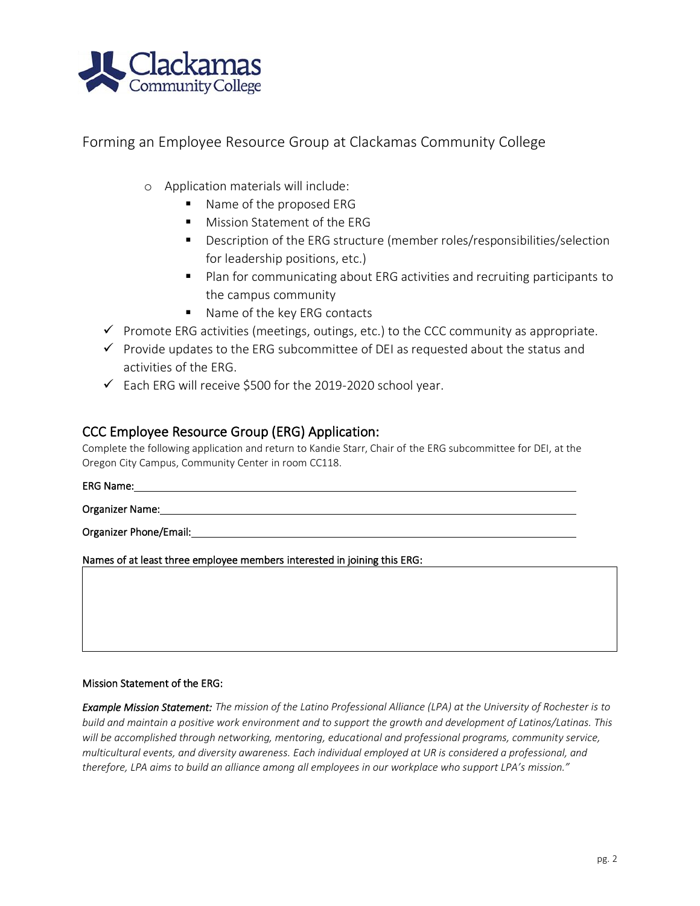

Forming an Employee Resource Group at Clackamas Community College

- o Application materials will include:
	- Name of the proposed ERG
	- Mission Statement of the ERG
	- Description of the ERG structure (member roles/responsibilities/selection for leadership positions, etc.)
	- Plan for communicating about ERG activities and recruiting participants to the campus community
	- Name of the key ERG contacts
- $\checkmark$  Promote ERG activities (meetings, outings, etc.) to the CCC community as appropriate.
- $\checkmark$  Provide updates to the ERG subcommittee of DEI as requested about the status and activities of the ERG.
- $\checkmark$  Each ERG will receive \$500 for the 2019-2020 school year.

### CCC Employee Resource Group (ERG) Application:

Complete the following application and return to Kandie Starr, Chair of the ERG subcommittee for DEI, at the Oregon City Campus, Community Center in room CC118.

ERG Name:

Organizer Name:

Organizer Phone/Email:

Names of at least three employee members interested in joining this ERG:

#### Mission Statement of the ERG:

*Example Mission Statement: The mission of the Latino Professional Alliance (LPA) at the University of Rochester is to build and maintain a positive work environment and to support the growth and development of Latinos/Latinas. This will be accomplished through networking, mentoring, educational and professional programs, community service, multicultural events, and diversity awareness. Each individual employed at UR is considered a professional, and therefore, LPA aims to build an alliance among all employees in our workplace who support LPA's mission."*